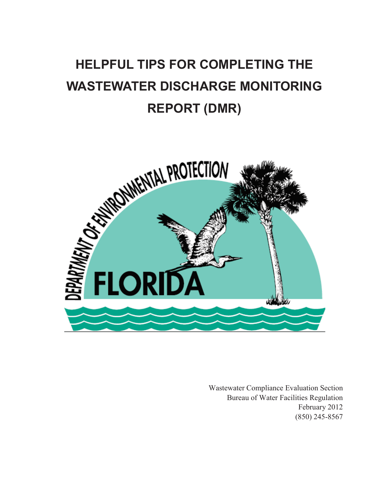# **HELPFUL TIPS FOR COMPLETING THE WASTEWATER DISCHARGE MONITORING REPORT (DMR)**



Wastewater Compliance Evaluation Section Bureau of Water Facilities Regulation February 2012 (850) 245-8567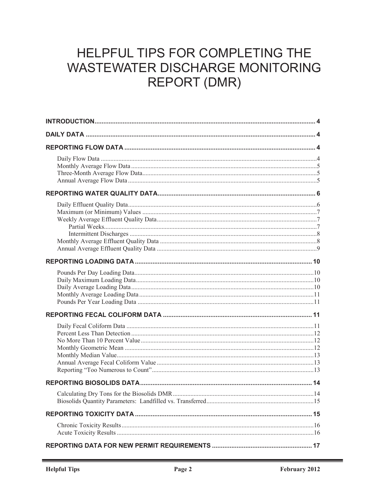## HELPFUL TIPS FOR COMPLETING THE **WASTEWATER DISCHARGE MONITORING REPORT (DMR)**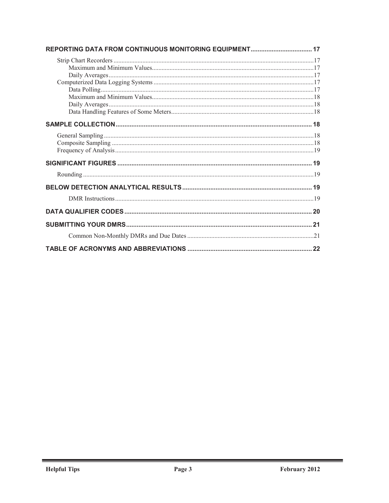| 21 |
|----|
|    |
|    |
|    |

and a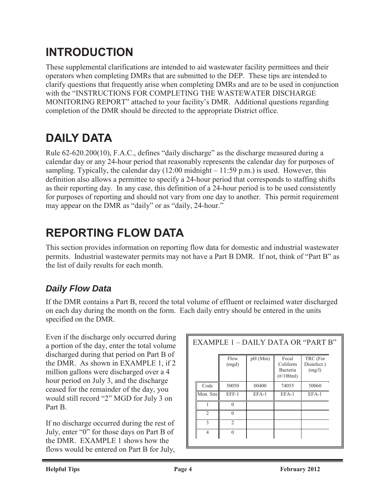## **INTRODUCTION**

These supplemental clarifications are intended to aid wastewater facility permittees and their operators when completing DMRs that are submitted to the DEP. These tips are intended to clarify questions that frequently arise when completing DMRs and are to be used in conjunction with the "INSTRUCTIONS FOR COMPLETING THE WASTEWATER DISCHARGE MONITORING REPORT" attached to your facility's DMR. Additional questions regarding completion of the DMR should be directed to the appropriate District office.

## **DAILY DATA**

Rule 62-620.200(10), F.A.C., defines "daily discharge" as the discharge measured during a calendar day or any 24-hour period that reasonably represents the calendar day for purposes of sampling. Typically, the calendar day  $(12:00 \text{ midnight} - 11:59 \text{ p.m.})$  is used. However, this definition also allows a permittee to specify a 24-hour period that corresponds to staffing shifts as their reporting day. In any case, this definition of a 24-hour period is to be used consistently for purposes of reporting and should not vary from one day to another. This permit requirement may appear on the DMR as "daily" or as "daily, 24-hour."

## **REPORTING FLOW DATA**

This section provides information on reporting flow data for domestic and industrial wastewater permits. Industrial wastewater permits may not have a Part B DMR. If not, think of "Part B" as the list of daily results for each month.

### *Daily Flow Data*

If the DMR contains a Part B, record the total volume of effluent or reclaimed water discharged on each day during the month on the form. Each daily entry should be entered in the units specified on the DMR.

Even if the discharge only occurred during a portion of the day, enter the total volume discharged during that period on Part B of the DMR. As shown in EXAMPLE 1, if 2 million gallons were discharged over a 4 hour period on July 3, and the discharge ceased for the remainder of the day, you would still record "2" MGD for July 3 on Part B.

If no discharge occurred during the rest of July, enter "0" for those days on Part B of the DMR. EXAMPLE 1 shows how the flows would be entered on Part B for July,

| EXAMPLE 1 – DAILY DATA OR "PART B" |                |                |            |                                               |                                   |  |
|------------------------------------|----------------|----------------|------------|-----------------------------------------------|-----------------------------------|--|
|                                    |                | Flow<br>(mgd)  | $pH$ (Min) | Fecal<br>Coliform<br>Bacteria<br>$(\#/100ml)$ | TRC (For<br>Disinfect.)<br>(mg/l) |  |
|                                    | Code           | 50050          | 00400      | 74055                                         | 50060                             |  |
|                                    | Mon. Site      | EFF-1          | $EFA-1$    | EFA-1                                         | $EFA-1$                           |  |
|                                    | 1              | $\theta$       |            |                                               |                                   |  |
|                                    | $\mathfrak{D}$ | $\Omega$       |            |                                               |                                   |  |
|                                    | 3              | $\overline{2}$ |            |                                               |                                   |  |
|                                    | $\overline{4}$ | $\theta$       |            |                                               |                                   |  |
|                                    |                |                |            |                                               |                                   |  |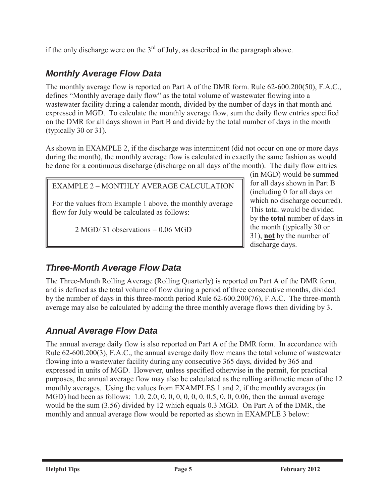if the only discharge were on the  $3<sup>rd</sup>$  of July, as described in the paragraph above.

### *Monthly Average Flow Data*

The monthly average flow is reported on Part A of the DMR form. Rule 62-600.200(50), F.A.C., defines "Monthly average daily flow" as the total volume of wastewater flowing into a wastewater facility during a calendar month, divided by the number of days in that month and expressed in MGD. To calculate the monthly average flow, sum the daily flow entries specified on the DMR for all days shown in Part B and divide by the total number of days in the month (typically 30 or 31).

As shown in EXAMPLE 2, if the discharge was intermittent (did not occur on one or more days during the month), the monthly average flow is calculated in exactly the same fashion as would be done for a continuous discharge (discharge on all days of the month). The daily flow entries

#### EXAMPLE 2 – MONTHLY AVERAGE CALCULATION

For the values from Example 1 above, the monthly average flow for July would be calculated as follows:

 $2 \text{ MGD}/31$  observations = 0.06 MGD

(in MGD) would be summed for all days shown in Part B (including 0 for all days on which no discharge occurred). This total would be divided by the **total** number of days in the month (typically 30 or 31), **not** by the number of discharge days.

### *Three-Month Average Flow Data*

The Three-Month Rolling Average (Rolling Quarterly) is reported on Part A of the DMR form, and is defined as the total volume of flow during a period of three consecutive months, divided by the number of days in this three-month period Rule 62-600.200(76), F.A.C. The three-month average may also be calculated by adding the three monthly average flows then dividing by 3.

### *Annual Average Flow Data*

The annual average daily flow is also reported on Part A of the DMR form. In accordance with Rule 62-600.200(3), F.A.C., the annual average daily flow means the total volume of wastewater flowing into a wastewater facility during any consecutive 365 days, divided by 365 and expressed in units of MGD. However, unless specified otherwise in the permit, for practical purposes, the annual average flow may also be calculated as the rolling arithmetic mean of the 12 monthly averages. Using the values from EXAMPLES 1 and 2, if the monthly averages (in MGD) had been as follows: 1.0, 2.0, 0, 0, 0, 0, 0, 0, 0.5, 0, 0, 0.06, then the annual average would be the sum (3.56) divided by 12 which equals 0.3 MGD. On Part A of the DMR, the monthly and annual average flow would be reported as shown in EXAMPLE 3 below: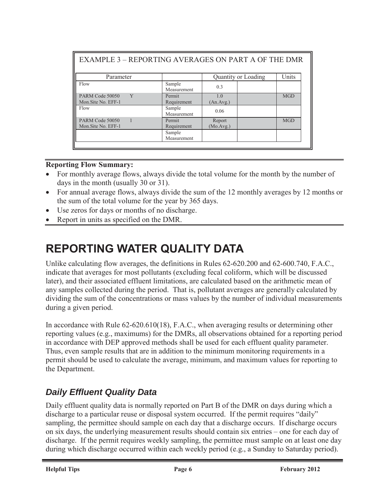| <b>EXAMPLE 3 - REPORTING AVERAGES ON PART A OF THE DMR</b> |                       |                     |            |
|------------------------------------------------------------|-----------------------|---------------------|------------|
| Parameter                                                  |                       | Quantity or Loading | Units      |
| Flow                                                       | Sample<br>Measurement | 0.3                 |            |
| Y<br>PARM Code 50050<br>Mon.Site No. EFF-1                 | Permit<br>Requirement | 1.0<br>(An. Avg.)   | <b>MGD</b> |
| Flow                                                       | Sample<br>Measurement | 0.06                |            |
| PARM Code 50050                                            | Permit                | Report              | <b>MGD</b> |
| Mon.Site No. EFF-1                                         | Requirement           | (Mo.Avg.)           |            |
|                                                            | Sample<br>Measurement |                     |            |

#### **Reporting Flow Summary:**

- For monthly average flows, always divide the total volume for the month by the number of days in the month (usually 30 or 31).
- For annual average flows, always divide the sum of the 12 monthly averages by 12 months or the sum of the total volume for the year by 365 days.
- Use zeros for days or months of no discharge.
- Report in units as specified on the DMR.

## **REPORTING WATER QUALITY DATA**

Unlike calculating flow averages, the definitions in Rules 62-620.200 and 62-600.740, F.A.C., indicate that averages for most pollutants (excluding fecal coliform, which will be discussed later), and their associated effluent limitations, are calculated based on the arithmetic mean of any samples collected during the period. That is, pollutant averages are generally calculated by dividing the sum of the concentrations or mass values by the number of individual measurements during a given period.

In accordance with Rule 62-620.610(18), F.A.C., when averaging results or determining other reporting values (e.g., maximums) for the DMRs, all observations obtained for a reporting period in accordance with DEP approved methods shall be used for each effluent quality parameter. Thus, even sample results that are in addition to the minimum monitoring requirements in a permit should be used to calculate the average, minimum, and maximum values for reporting to the Department.

### *Daily Effluent Quality Data*

Daily effluent quality data is normally reported on Part B of the DMR on days during which a discharge to a particular reuse or disposal system occurred. If the permit requires "daily" sampling, the permittee should sample on each day that a discharge occurs. If discharge occurs on six days, the underlying measurement results should contain six entries – one for each day of discharge. If the permit requires weekly sampling, the permittee must sample on at least one day during which discharge occurred within each weekly period (e.g., a Sunday to Saturday period).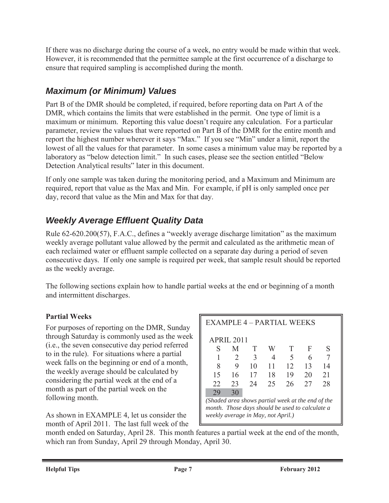If there was no discharge during the course of a week, no entry would be made within that week. However, it is recommended that the permittee sample at the first occurrence of a discharge to ensure that required sampling is accomplished during the month.

### *Maximum (or Minimum) Values*

Part B of the DMR should be completed, if required, before reporting data on Part A of the DMR, which contains the limits that were established in the permit. One type of limit is a maximum or minimum. Reporting this value doesn't require any calculation. For a particular parameter, review the values that were reported on Part B of the DMR for the entire month and report the highest number wherever it says "Max." If you see "Min" under a limit, report the lowest of all the values for that parameter. In some cases a minimum value may be reported by a laboratory as "below detection limit." In such cases, please see the section entitled "Below Detection Analytical results" later in this document.

If only one sample was taken during the monitoring period, and a Maximum and Minimum are required, report that value as the Max and Min. For example, if pH is only sampled once per day, record that value as the Min and Max for that day.

### *Weekly Average Effluent Quality Data*

Rule 62-620.200(57), F.A.C., defines a "weekly average discharge limitation" as the maximum weekly average pollutant value allowed by the permit and calculated as the arithmetic mean of each reclaimed water or effluent sample collected on a separate day during a period of seven consecutive days. If only one sample is required per week, that sample result should be reported as the weekly average.

The following sections explain how to handle partial weeks at the end or beginning of a month and intermittent discharges.

#### **Partial Weeks**

For purposes of reporting on the DMR, Sunday through Saturday is commonly used as the week (i.e., the seven consecutive day period referred to in the rule). For situations where a partial week falls on the beginning or end of a month, the weekly average should be calculated by considering the partial week at the end of a month as part of the partial week on the following month.

As shown in EXAMPLE 4, let us consider the month of April 2011. The last full week of the

| EXAMPLE 4 – PARTIAL WEEKS                                                                                                                  |            |    |    |    |    |    |
|--------------------------------------------------------------------------------------------------------------------------------------------|------------|----|----|----|----|----|
|                                                                                                                                            | APRIL 2011 |    |    |    |    |    |
| S                                                                                                                                          | M          | T  | W  | T  | F  | S  |
|                                                                                                                                            | 2          | 3  | 4  | 5  | 6  |    |
| 8                                                                                                                                          | 9          | 10 | 11 | 12 | 13 | 14 |
| 15                                                                                                                                         | 16         | 17 | 18 | 19 | 20 | 21 |
| 22                                                                                                                                         | 23         | 24 | 25 | 26 | 27 | 28 |
| 29                                                                                                                                         | 30         |    |    |    |    |    |
| (Shaded area shows partial week at the end of the<br>month. Those days should be used to calculate a<br>weekly average in May, not April.) |            |    |    |    |    |    |

month ended on Saturday, April 28. This month features a partial week at the end of the month, which ran from Sunday, April 29 through Monday, April 30.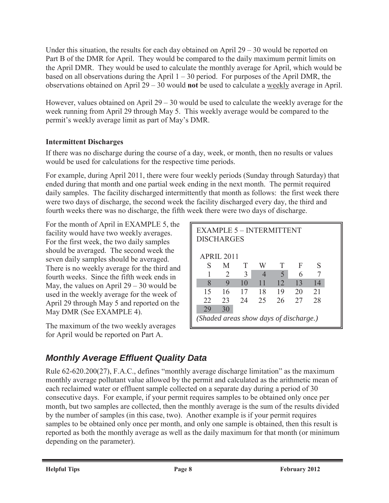Under this situation, the results for each day obtained on April  $29 - 30$  would be reported on Part B of the DMR for April. They would be compared to the daily maximum permit limits on the April DMR. They would be used to calculate the monthly average for April, which would be based on all observations during the April  $1 - 30$  period. For purposes of the April DMR, the observations obtained on April 29 – 30 would **not** be used to calculate a weekly average in April.

However, values obtained on April  $29 - 30$  would be used to calculate the weekly average for the week running from April 29 through May 5. This weekly average would be compared to the permit's weekly average limit as part of May's DMR.

#### **Intermittent Discharges**

If there was no discharge during the course of a day, week, or month, then no results or values would be used for calculations for the respective time periods.

For example, during April 2011, there were four weekly periods (Sunday through Saturday) that ended during that month and one partial week ending in the next month. The permit required daily samples. The facility discharged intermittently that month as follows: the first week there were two days of discharge, the second week the facility discharged every day, the third and fourth weeks there was no discharge, the fifth week there were two days of discharge.

For the month of April in EXAMPLE 5, the facility would have two weekly averages. For the first week, the two daily samples should be averaged. The second week the seven daily samples should be averaged. There is no weekly average for the third and fourth weeks. Since the fifth week ends in May, the values on April  $29 - 30$  would be used in the weekly average for the week of April 29 through May 5 and reported on the May DMR (See EXAMPLE 4).

The maximum of the two weekly averages for April would be reported on Part A.

| <b>EXAMPLE 5 - INTERMITTENT</b><br><b>DISCHARGES</b> |                             |    |                          |                          |    |    |  |
|------------------------------------------------------|-----------------------------|----|--------------------------|--------------------------|----|----|--|
|                                                      | <b>APRIL 2011</b>           |    |                          |                          |    |    |  |
| S                                                    | M                           | T  | W                        | T                        | F  | S  |  |
|                                                      | $\mathcal{D}_{\mathcal{L}}$ | 3  | $\overline{\mathcal{A}}$ | $\overline{\mathcal{L}}$ | 6  |    |  |
| 8                                                    | 9                           | 10 | 11                       | 12                       | 13 | 14 |  |
| 15                                                   | 16                          | 17 | 18                       | 19                       | 20 | 21 |  |
| 22                                                   | 23                          | 24 | 25                       | 26                       | 27 | 28 |  |
| 29                                                   | 30                          |    |                          |                          |    |    |  |
| (Shaded areas show days of discharge.)               |                             |    |                          |                          |    |    |  |

### *Monthly Average Effluent Quality Data*

Rule 62-620.200(27), F.A.C., defines "monthly average discharge limitation" as the maximum monthly average pollutant value allowed by the permit and calculated as the arithmetic mean of each reclaimed water or effluent sample collected on a separate day during a period of 30 consecutive days. For example, if your permit requires samples to be obtained only once per month, but two samples are collected, then the monthly average is the sum of the results divided by the number of samples (in this case, two). Another example is if your permit requires samples to be obtained only once per month, and only one sample is obtained, then this result is reported as both the monthly average as well as the daily maximum for that month (or minimum depending on the parameter).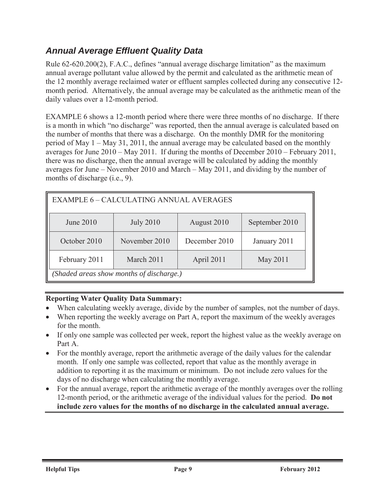#### *Annual Average Effluent Quality Data*

Rule 62-620.200(2), F.A.C., defines "annual average discharge limitation" as the maximum annual average pollutant value allowed by the permit and calculated as the arithmetic mean of the 12 monthly average reclaimed water or effluent samples collected during any consecutive 12 month period. Alternatively, the annual average may be calculated as the arithmetic mean of the daily values over a 12-month period.

EXAMPLE 6 shows a 12-month period where there were three months of no discharge. If there is a month in which "no discharge" was reported, then the annual average is calculated based on the number of months that there was a discharge. On the monthly DMR for the monitoring period of May 1 – May 31, 2011, the annual average may be calculated based on the monthly averages for June 2010 – May 2011. If during the months of December 2010 – February 2011, there was no discharge, then the annual average will be calculated by adding the monthly averages for June – November 2010 and March – May 2011, and dividing by the number of months of discharge (i.e., 9).

| <b>EXAMPLE 6 - CALCULATING ANNUAL AVERAGES</b>        |                  |               |                |  |  |  |
|-------------------------------------------------------|------------------|---------------|----------------|--|--|--|
| June 2010                                             | <b>July 2010</b> | August 2010   | September 2010 |  |  |  |
| October 2010                                          | November 2010    | December 2010 | January 2011   |  |  |  |
| March 2011<br>February 2011<br>April 2011<br>May 2011 |                  |               |                |  |  |  |
| (Shaded areas show months of discharge.)              |                  |               |                |  |  |  |

#### **Reporting Water Quality Data Summary:**

- When calculating weekly average, divide by the number of samples, not the number of days.
- When reporting the weekly average on Part A, report the maximum of the weekly averages for the month.
- If only one sample was collected per week, report the highest value as the weekly average on Part A.
- For the monthly average, report the arithmetic average of the daily values for the calendar month. If only one sample was collected, report that value as the monthly average in addition to reporting it as the maximum or minimum. Do not include zero values for the days of no discharge when calculating the monthly average.
- For the annual average, report the arithmetic average of the monthly averages over the rolling 12-month period, or the arithmetic average of the individual values for the period. **Do not include zero values for the months of no discharge in the calculated annual average.**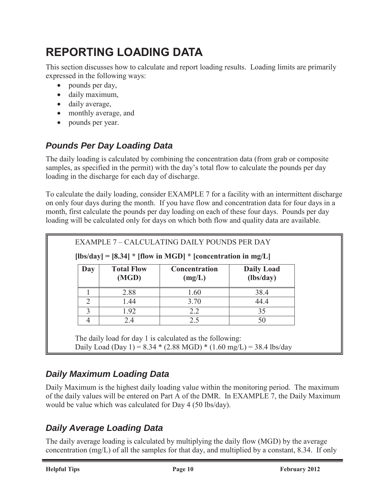## **REPORTING LOADING DATA**

This section discusses how to calculate and report loading results. Loading limits are primarily expressed in the following ways:

- $\bullet$  pounds per day,
- daily maximum,
- daily average,
- monthly average, and
- pounds per year.

### *Pounds Per Day Loading Data*

The daily loading is calculated by combining the concentration data (from grab or composite samples, as specified in the permit) with the day's total flow to calculate the pounds per day loading in the discharge for each day of discharge.

To calculate the daily loading, consider EXAMPLE 7 for a facility with an intermittent discharge on only four days during the month. If you have flow and concentration data for four days in a month, first calculate the pounds per day loading on each of these four days. Pounds per day loading will be calculated only for days on which both flow and quality data are available.

|               |                            | $[Ibs/day] = [8.34] * [flow in MGD] * [concentration in mg/L]$ |                                |
|---------------|----------------------------|----------------------------------------------------------------|--------------------------------|
| Day           | <b>Total Flow</b><br>(MGD) | <b>Concentration</b><br>(mg/L)                                 | <b>Daily Load</b><br>(lbs/day) |
|               | 2.88                       | 1.60                                                           | 38.4                           |
| $\mathcal{D}$ | 1.44                       | 3.70                                                           | 44.4                           |
| $\mathcal{E}$ | 1.92                       | 2.2                                                            | 35                             |
| 4             | 2.4                        | 2.5                                                            | 50                             |

Daily Load (Day 1) =  $8.34 * (2.88 \text{ MGD}) * (1.60 \text{ mg/L}) = 38.4 \text{ lbs/day}$ 

### *Daily Maximum Loading Data*

Daily Maximum is the highest daily loading value within the monitoring period. The maximum of the daily values will be entered on Part A of the DMR. In EXAMPLE 7, the Daily Maximum would be value which was calculated for Day 4 (50 lbs/day).

### *Daily Average Loading Data*

The daily average loading is calculated by multiplying the daily flow (MGD) by the average concentration (mg/L) of all the samples for that day, and multiplied by a constant, 8.34. If only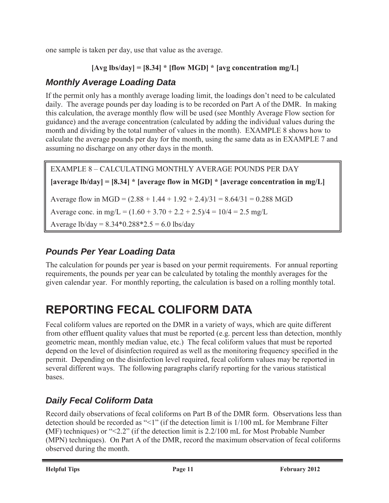one sample is taken per day, use that value as the average.

```
[Avg lbs/day] = [8.34] * [flow MGD] * [avg concentration mg/L]
```
### *Monthly Average Loading Data*

If the permit only has a monthly average loading limit, the loadings don't need to be calculated daily. The average pounds per day loading is to be recorded on Part A of the DMR. In making this calculation, the average monthly flow will be used (see Monthly Average Flow section for guidance) and the average concentration (calculated by adding the individual values during the month and dividing by the total number of values in the month). EXAMPLE 8 shows how to calculate the average pounds per day for the month, using the same data as in EXAMPLE 7 and assuming no discharge on any other days in the month.

EXAMPLE 8 – CALCULATING MONTHLY AVERAGE POUNDS PER DAY **[average lb/day] = [8.34] \* [average flow in MGD] \* [average concentration in mg/L]** Average flow in MGD =  $(2.88 + 1.44 + 1.92 + 2.4)/31 = 8.64/31 = 0.288$  MGD Average conc. in mg/L =  $(1.60 + 3.70 + 2.2 + 2.5)/4 = 10/4 = 2.5$  mg/L Average  $1b/day = 8.34*0.288*2.5 = 6.0$  lbs/day

### *Pounds Per Year Loading Data*

The calculation for pounds per year is based on your permit requirements. For annual reporting requirements, the pounds per year can be calculated by totaling the monthly averages for the given calendar year. For monthly reporting, the calculation is based on a rolling monthly total.

## **REPORTING FECAL COLIFORM DATA**

Fecal coliform values are reported on the DMR in a variety of ways, which are quite different from other effluent quality values that must be reported (e.g. percent less than detection, monthly geometric mean, monthly median value, etc.) The fecal coliform values that must be reported depend on the level of disinfection required as well as the monitoring frequency specified in the permit. Depending on the disinfection level required, fecal coliform values may be reported in several different ways. The following paragraphs clarify reporting for the various statistical bases.

### *Daily Fecal Coliform Data*

Record daily observations of fecal coliforms on Part B of the DMR form. Observations less than detection should be recorded as "<1" (if the detection limit is 1/100 mL for Membrane Filter **(**MF) techniques) or "<2.2" (if the detection limit is 2.2/100 mL for Most Probable Number (MPN) techniques). On Part A of the DMR, record the maximum observation of fecal coliforms observed during the month.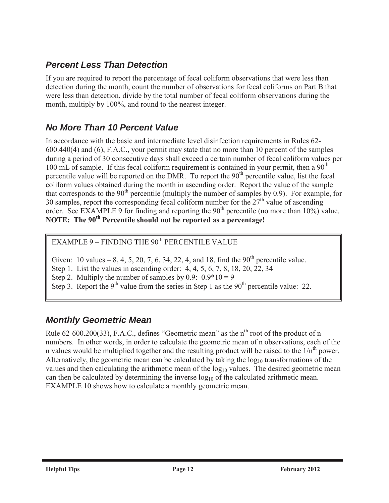#### *Percent Less Than Detection*

If you are required to report the percentage of fecal coliform observations that were less than detection during the month, count the number of observations for fecal coliforms on Part B that were less than detection, divide by the total number of fecal coliform observations during the month, multiply by 100%, and round to the nearest integer.

#### *No More Than 10 Percent Value*

In accordance with the basic and intermediate level disinfection requirements in Rules 62- 600.440(4) and (6), F.A.C., your permit may state that no more than 10 percent of the samples during a period of 30 consecutive days shall exceed a certain number of fecal coliform values per 100 mL of sample. If this fecal coliform requirement is contained in your permit, then a  $90<sup>th</sup>$ percentile value will be reported on the DMR. To report the  $90<sup>th</sup>$  percentile value, list the fecal coliform values obtained during the month in ascending order. Report the value of the sample that corresponds to the 90<sup>th</sup> percentile (multiply the number of samples by 0.9). For example, for 30 samples, report the corresponding fecal coliform number for the  $27<sup>th</sup>$  value of ascending order. See EXAMPLE 9 for finding and reporting the  $90<sup>th</sup>$  percentile (no more than 10%) value. **NOTE:** The 90<sup>th</sup> Percentile should not be reported as a percentage!

EXAMPLE  $9$  – FINDING THE  $90<sup>th</sup>$  PERCENTILE VALUE

Given: 10 values – 8, 4, 5, 20, 7, 6, 34, 22, 4, and 18, find the  $90^{th}$  percentile value.

Step 1. List the values in ascending order: 4, 4, 5, 6, 7, 8, 18, 20, 22, 34

Step 2. Multiply the number of samples by 0.9:  $0.9*10 = 9$ 

Step 3. Report the 9<sup>th</sup> value from the series in Step 1 as the 90<sup>th</sup> percentile value: 22.

#### *Monthly Geometric Mean*

Rule  $62-600.200(33)$ , F.A.C., defines "Geometric mean" as the n<sup>th</sup> root of the product of n numbers. In other words, in order to calculate the geometric mean of n observations, each of the n values would be multiplied together and the resulting product will be raised to the  $1/n<sup>th</sup>$  power. Alternatively, the geometric mean can be calculated by taking the  $log_{10}$  transformations of the values and then calculating the arithmetic mean of the  $log_{10}$  values. The desired geometric mean can then be calculated by determining the inverse  $log_{10}$  of the calculated arithmetic mean. EXAMPLE 10 shows how to calculate a monthly geometric mean.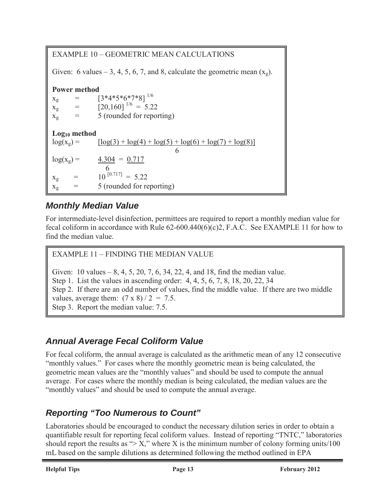| EXAMPLE 10 – GEOMETRIC MEAN CALCULATIONS                                       |                                                                                           |  |  |  |
|--------------------------------------------------------------------------------|-------------------------------------------------------------------------------------------|--|--|--|
| Given: 6 values – 3, 4, 5, 6, 7, and 8, calculate the geometric mean $(x_g)$ . |                                                                                           |  |  |  |
| <b>Power method</b>                                                            |                                                                                           |  |  |  |
|                                                                                | $[3*4*5*6*7*8]^{1/6}$<br>$x_g$ = $[3*4*5*6*7*8]^{1/6}$<br>$x_g$ = $[20,160]^{1/6} = 5.22$ |  |  |  |
| $\alpha = 1$                                                                   | 5 (rounded for reporting)                                                                 |  |  |  |
| $X_{\mathfrak{Q}}$                                                             |                                                                                           |  |  |  |
| $Log10$ method                                                                 |                                                                                           |  |  |  |
| $log(x_g) =$                                                                   | $\lceil \log(3) + \log(4) + \log(5) + \log(6) + \log(7) + \log(8) \rceil$                 |  |  |  |
|                                                                                | 6                                                                                         |  |  |  |
| $log(x_g) =$                                                                   | $\frac{4.304}{ } = 0.717$                                                                 |  |  |  |
|                                                                                | -6                                                                                        |  |  |  |
| $=$<br>$X_{\mathfrak{Q}}$                                                      | $10^{[0.717]} = 5.22$                                                                     |  |  |  |
| $X_g$                                                                          | 5 (rounded for reporting)                                                                 |  |  |  |

### *Monthly Median Value*

For intermediate-level disinfection, permittees are required to report a monthly median value for fecal coliform in accordance with Rule 62-600.440(6)(c)2, F.A.C. See EXAMPLE 11 for how to find the median value.

#### EXAMPLE 11 – FINDING THE MEDIAN VALUE

Given: 10 values  $-8, 4, 5, 20, 7, 6, 34, 22, 4,$  and 18, find the median value. Step 1. List the values in ascending order: 4, 4, 5, 6, 7, 8, 18, 20, 22, 34 Step 2. If there are an odd number of values, find the middle value. If there are two middle values, average them:  $(7 \times 8)/2 = 7.5$ . Step 3. Report the median value: 7.5.

### *Annual Average Fecal Coliform Value*

For fecal coliform, the annual average is calculated as the arithmetic mean of any 12 consecutive "monthly values." For cases where the monthly geometric mean is being calculated, the geometric mean values are the "monthly values" and should be used to compute the annual average. For cases where the monthly median is being calculated, the median values are the "monthly values" and should be used to compute the annual average.

### *Reporting "Too Numerous to Count"*

Laboratories should be encouraged to conduct the necessary dilution series in order to obtain a quantifiable result for reporting fecal coliform values. Instead of reporting "TNTC," laboratories should report the results as " $> X$ ," where X is the minimum number of colony forming units/100 mL based on the sample dilutions as determined following the method outlined in EPA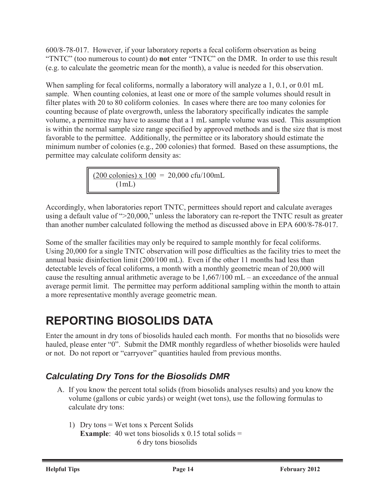600/8-78-017. However, if your laboratory reports a fecal coliform observation as being "TNTC" (too numerous to count) do **not** enter "TNTC" on the DMR. In order to use this result (e.g. to calculate the geometric mean for the month), a value is needed for this observation.

When sampling for fecal coliforms, normally a laboratory will analyze a 1, 0.1, or 0.01 mL sample. When counting colonies, at least one or more of the sample volumes should result in filter plates with 20 to 80 coliform colonies. In cases where there are too many colonies for counting because of plate overgrowth, unless the laboratory specifically indicates the sample volume, a permittee may have to assume that a 1 mL sample volume was used. This assumption is within the normal sample size range specified by approved methods and is the size that is most favorable to the permittee. Additionally, the permittee or its laboratory should estimate the minimum number of colonies (e.g., 200 colonies) that formed. Based on these assumptions, the permittee may calculate coliform density as:

> (200 colonies) x  $100 = 20,000$  cfu/100mL  $(1mL)$

Accordingly, when laboratories report TNTC, permittees should report and calculate averages using a default value of ">20,000," unless the laboratory can re-report the TNTC result as greater than another number calculated following the method as discussed above in EPA 600/8-78-017.

Some of the smaller facilities may only be required to sample monthly for fecal coliforms. Using 20,000 for a single TNTC observation will pose difficulties as the facility tries to meet the annual basic disinfection limit (200/100 mL). Even if the other 11 months had less than detectable levels of fecal coliforms, a month with a monthly geometric mean of 20,000 will cause the resulting annual arithmetic average to be 1,667/100 mL – an exceedance of the annual average permit limit. The permittee may perform additional sampling within the month to attain a more representative monthly average geometric mean.

## **REPORTING BIOSOLIDS DATA**

Enter the amount in dry tons of biosolids hauled each month. For months that no biosolids were hauled, please enter "0". Submit the DMR monthly regardless of whether biosolids were hauled or not. Do not report or "carryover" quantities hauled from previous months.

### *Calculating Dry Tons for the Biosolids DMR*

- A. If you know the percent total solids (from biosolids analyses results) and you know the volume (gallons or cubic yards) or weight (wet tons), use the following formulas to calculate dry tons:
	- 1) Dry tons = Wet tons x Percent Solids **Example**: 40 wet tons biosolids x 0.15 total solids  $=$ 6 dry tons biosolids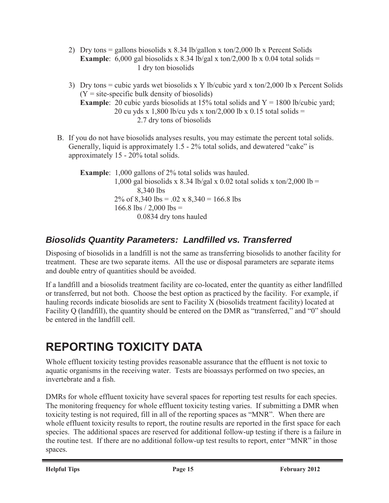- 2) Dry tons = gallons biosolids x 8.34 lb/gallon x ton/2,000 lb x Percent Solids **Example**: 6,000 gal biosolids x 8.34 lb/gal x ton/2,000 lb x 0.04 total solids = 1 dry ton biosolids
- 3) Dry tons = cubic yards wet biosolids x Y lb/cubic yard x ton/2,000 lb x Percent Solids  $(Y = site-specific bulk density of biosoids)$ **Example**: 20 cubic yards biosolids at 15% total solids and Y = 1800 lb/cubic yard; 20 cu yds x 1,800 lb/cu yds x ton/2,000 lb x 0.15 total solids = 2.7 dry tons of biosolids
- B. If you do not have biosolids analyses results, you may estimate the percent total solids. Generally, liquid is approximately 1.5 - 2% total solids, and dewatered "cake" is approximately 15 - 20% total solids.

**Example**: 1,000 gallons of 2% total solids was hauled. 1,000 gal biosolids x 8.34 lb/gal x 0.02 total solids x ton/2,000 lb = 8,340 lbs 2% of 8,340 lbs = .02 x 8,340 = 166.8 lbs 166.8 lbs  $/$  2,000 lbs = 0.0834 dry tons hauled

### *Biosolids Quantity Parameters: Landfilled vs. Transferred*

Disposing of biosolids in a landfill is not the same as transferring biosolids to another facility for treatment. These are two separate items. All the use or disposal parameters are separate items and double entry of quantities should be avoided.

If a landfill and a biosolids treatment facility are co-located, enter the quantity as either landfilled or transferred, but not both. Choose the best option as practiced by the facility. For example, if hauling records indicate biosolids are sent to Facility X (biosolids treatment facility) located at Facility Q (landfill), the quantity should be entered on the DMR as "transferred," and "0" should be entered in the landfill cell.

## **REPORTING TOXICITY DATA**

Whole effluent toxicity testing provides reasonable assurance that the effluent is not toxic to aquatic organisms in the receiving water. Tests are bioassays performed on two species, an invertebrate and a fish.

DMRs for whole effluent toxicity have several spaces for reporting test results for each species. The monitoring frequency for whole effluent toxicity testing varies. If submitting a DMR when toxicity testing is not required, fill in all of the reporting spaces as "MNR". When there are whole effluent toxicity results to report, the routine results are reported in the first space for each species. The additional spaces are reserved for additional follow-up testing if there is a failure in the routine test. If there are no additional follow-up test results to report, enter "MNR" in those spaces.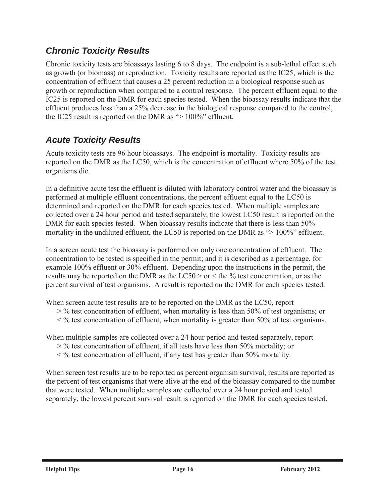### *Chronic Toxicity Results*

Chronic toxicity tests are bioassays lasting 6 to 8 days. The endpoint is a sub-lethal effect such as growth (or biomass) or reproduction. Toxicity results are reported as the IC25, which is the concentration of effluent that causes a 25 percent reduction in a biological response such as growth or reproduction when compared to a control response. The percent effluent equal to the IC25 is reported on the DMR for each species tested. When the bioassay results indicate that the effluent produces less than a 25% decrease in the biological response compared to the control, the IC25 result is reported on the DMR as "> 100%" effluent.

#### *Acute Toxicity Results*

Acute toxicity tests are 96 hour bioassays. The endpoint is mortality. Toxicity results are reported on the DMR as the LC50, which is the concentration of effluent where 50% of the test organisms die.

In a definitive acute test the effluent is diluted with laboratory control water and the bioassay is performed at multiple effluent concentrations, the percent effluent equal to the LC50 is determined and reported on the DMR for each species tested. When multiple samples are collected over a 24 hour period and tested separately, the lowest LC50 result is reported on the DMR for each species tested. When bioassay results indicate that there is less than 50% mortality in the undiluted effluent, the LC50 is reported on the DMR as "> 100%" effluent.

In a screen acute test the bioassay is performed on only one concentration of effluent. The concentration to be tested is specified in the permit; and it is described as a percentage, for example 100% effluent or 30% effluent. Depending upon the instructions in the permit, the results may be reported on the DMR as the  $LC50 > or <$  the % test concentration, or as the percent survival of test organisms. A result is reported on the DMR for each species tested.

When screen acute test results are to be reported on the DMR as the LC50, report

- $>$ % test concentration of effluent, when mortality is less than 50% of test organisms; or
- $\leq$ % test concentration of effluent, when mortality is greater than 50% of test organisms.

When multiple samples are collected over a 24 hour period and tested separately, report

- > % test concentration of effluent, if all tests have less than 50% mortality; or
- < % test concentration of effluent, if any test has greater than 50% mortality.

When screen test results are to be reported as percent organism survival, results are reported as the percent of test organisms that were alive at the end of the bioassay compared to the number that were tested. When multiple samples are collected over a 24 hour period and tested separately, the lowest percent survival result is reported on the DMR for each species tested.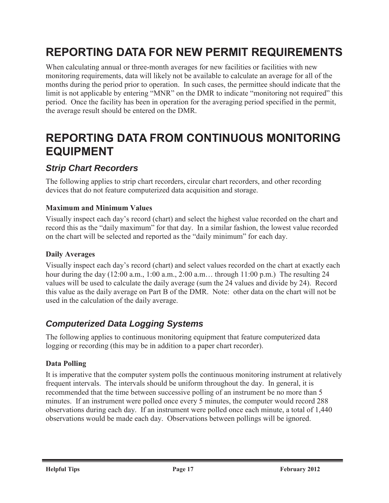## **REPORTING DATA FOR NEW PERMIT REQUIREMENTS**

When calculating annual or three-month averages for new facilities or facilities with new monitoring requirements, data will likely not be available to calculate an average for all of the months during the period prior to operation. In such cases, the permittee should indicate that the limit is not applicable by entering "MNR" on the DMR to indicate "monitoring not required" this period. Once the facility has been in operation for the averaging period specified in the permit, the average result should be entered on the DMR.

## **REPORTING DATA FROM CONTINUOUS MONITORING EQUIPMENT**

#### *Strip Chart Recorders*

The following applies to strip chart recorders, circular chart recorders, and other recording devices that do not feature computerized data acquisition and storage.

#### **Maximum and Minimum Values**

Visually inspect each day's record (chart) and select the highest value recorded on the chart and record this as the "daily maximum" for that day. In a similar fashion, the lowest value recorded on the chart will be selected and reported as the "daily minimum" for each day.

#### **Daily Averages**

Visually inspect each day's record (chart) and select values recorded on the chart at exactly each hour during the day (12:00 a.m., 1:00 a.m., 2:00 a.m... through 11:00 p.m.) The resulting 24 values will be used to calculate the daily average (sum the 24 values and divide by 24). Record this value as the daily average on Part B of the DMR. Note: other data on the chart will not be used in the calculation of the daily average.

#### *Computerized Data Logging Systems*

The following applies to continuous monitoring equipment that feature computerized data logging or recording (this may be in addition to a paper chart recorder).

#### **Data Polling**

It is imperative that the computer system polls the continuous monitoring instrument at relatively frequent intervals. The intervals should be uniform throughout the day. In general, it is recommended that the time between successive polling of an instrument be no more than 5 minutes. If an instrument were polled once every 5 minutes, the computer would record 288 observations during each day. If an instrument were polled once each minute, a total of 1,440 observations would be made each day. Observations between pollings will be ignored.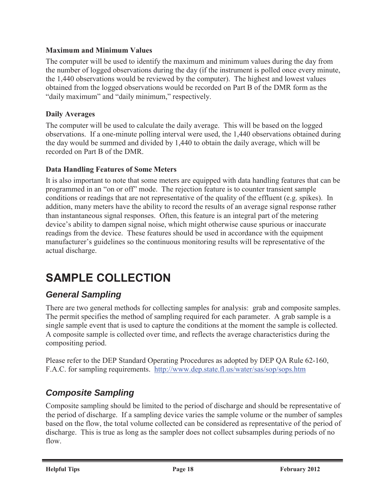#### **Maximum and Minimum Values**

The computer will be used to identify the maximum and minimum values during the day from the number of logged observations during the day (if the instrument is polled once every minute, the 1,440 observations would be reviewed by the computer). The highest and lowest values obtained from the logged observations would be recorded on Part B of the DMR form as the "daily maximum" and "daily minimum," respectively.

#### **Daily Averages**

The computer will be used to calculate the daily average. This will be based on the logged observations. If a one-minute polling interval were used, the 1,440 observations obtained during the day would be summed and divided by 1,440 to obtain the daily average, which will be recorded on Part B of the DMR.

#### **Data Handling Features of Some Meters**

It is also important to note that some meters are equipped with data handling features that can be programmed in an "on or off" mode. The rejection feature is to counter transient sample conditions or readings that are not representative of the quality of the effluent (e.g. spikes). In addition, many meters have the ability to record the results of an average signal response rather than instantaneous signal responses. Often, this feature is an integral part of the metering device's ability to dampen signal noise, which might otherwise cause spurious or inaccurate readings from the device. These features should be used in accordance with the equipment manufacturer's guidelines so the continuous monitoring results will be representative of the actual discharge.

## **SAMPLE COLLECTION**

#### *General Sampling*

There are two general methods for collecting samples for analysis: grab and composite samples. The permit specifies the method of sampling required for each parameter. A grab sample is a single sample event that is used to capture the conditions at the moment the sample is collected. A composite sample is collected over time, and reflects the average characteristics during the compositing period.

Please refer to the DEP Standard Operating Procedures as adopted by DEP QA Rule 62-160, F.A.C. for sampling requirements. http://www.dep.state.fl.us/water/sas/sop/sops.htm

### *Composite Sampling*

Composite sampling should be limited to the period of discharge and should be representative of the period of discharge. If a sampling device varies the sample volume or the number of samples based on the flow, the total volume collected can be considered as representative of the period of discharge. This is true as long as the sampler does not collect subsamples during periods of no flow.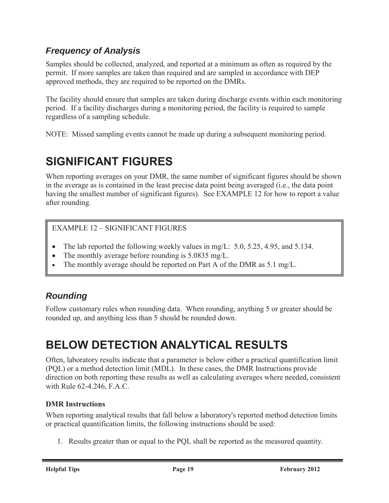### *Frequency of Analysis*

Samples should be collected, analyzed, and reported at a minimum as often as required by the permit. If more samples are taken than required and are sampled in accordance with DEP approved methods, they are required to be reported on the DMRs.

The facility should ensure that samples are taken during discharge events within each monitoring period. If a facility discharges during a monitoring period, the facility is required to sample regardless of a sampling schedule.

NOTE: Missed sampling events cannot be made up during a subsequent monitoring period.

## **SIGNIFICANT FIGURES**

When reporting averages on your DMR, the same number of significant figures should be shown in the average as is contained in the least precise data point being averaged (i.e., the data point having the smallest number of significant figures). See EXAMPLE 12 for how to report a value after rounding.

#### EXAMPLE 12 – SIGNIFICANT FIGURES

- The lab reported the following weekly values in mg/L:  $5.0, 5.25, 4.95,$  and  $5.134$ .
- The monthly average before rounding is  $5.0835$  mg/L.
- The monthly average should be reported on Part A of the DMR as 5.1 mg/L.

### *Rounding*

Follow customary rules when rounding data. When rounding, anything 5 or greater should be rounded up, and anything less than 5 should be rounded down.

## **BELOW DETECTION ANALYTICAL RESULTS**

Often, laboratory results indicate that a parameter is below either a practical quantification limit (PQL) or a method detection limit (MDL). In these cases, the DMR Instructions provide direction on both reporting these results as well as calculating averages where needed, consistent with Rule 62-4.246, F.A.C.

#### **DMR Instructions**

When reporting analytical results that fall below a laboratory's reported method detection limits or practical quantification limits, the following instructions should be used:

1. Results greater than or equal to the PQL shall be reported as the measured quantity.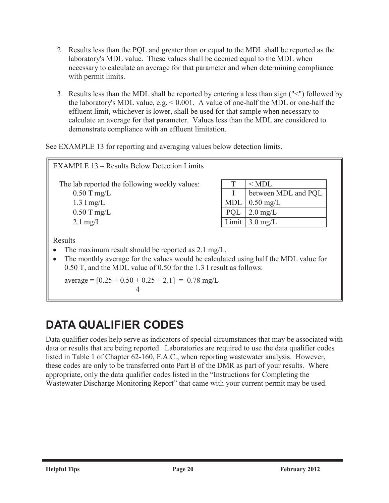- 2. Results less than the PQL and greater than or equal to the MDL shall be reported as the laboratory's MDL value. These values shall be deemed equal to the MDL when necessary to calculate an average for that parameter and when determining compliance with permit limits.
- 3. Results less than the MDL shall be reported by entering a less than sign ("<") followed by the laboratory's MDL value, e.g. < 0.001. A value of one-half the MDL or one-half the effluent limit, whichever is lower, shall be used for that sample when necessary to calculate an average for that parameter. Values less than the MDL are considered to demonstrate compliance with an effluent limitation.

See EXAMPLE 13 for reporting and averaging values below detection limits.

| <b>EXAMPLE 13 – Results Below Detection Limits</b>                                                                                                                                                                                                                                                            |            |                     |
|---------------------------------------------------------------------------------------------------------------------------------------------------------------------------------------------------------------------------------------------------------------------------------------------------------------|------------|---------------------|
| The lab reported the following weekly values:                                                                                                                                                                                                                                                                 |            | $<$ MDL             |
| $0.50$ T mg/L                                                                                                                                                                                                                                                                                                 |            | between MDL and PQL |
| $1.3$ I mg/L                                                                                                                                                                                                                                                                                                  | <b>MDL</b> | $0.50 \text{ mg/L}$ |
| $0.50$ T mg/L                                                                                                                                                                                                                                                                                                 | PQL        | $2.0 \text{ mg/L}$  |
| $2.1 \text{ mg/L}$                                                                                                                                                                                                                                                                                            | Limit      | $3.0 \text{ mg/L}$  |
| Results<br>The maximum result should be reported as $2.1 \text{ mg/L}$ .<br>The monthly average for the values would be calculated using half the MDL value for<br>$\bullet$<br>0.50 T, and the MDL value of 0.50 for the 1.3 I result as follows:<br>$average = [0.25 + 0.50 + 0.25 + 2.1] = 0.78$ mg/L<br>4 |            |                     |

## **DATA QUALIFIER CODES**

Data qualifier codes help serve as indicators of special circumstances that may be associated with data or results that are being reported. Laboratories are required to use the data qualifier codes listed in Table 1 of Chapter 62-160, F.A.C., when reporting wastewater analysis. However, these codes are only to be transferred onto Part B of the DMR as part of your results. Where appropriate, only the data qualifier codes listed in the "Instructions for Completing the Wastewater Discharge Monitoring Report" that came with your current permit may be used.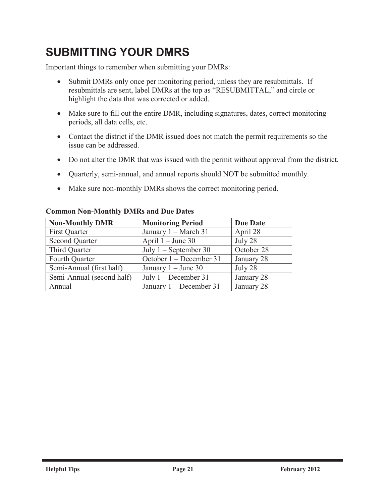## **SUBMITTING YOUR DMRS**

Important things to remember when submitting your DMRs:

- Submit DMRs only once per monitoring period, unless they are resubmittals. If resubmittals are sent, label DMRs at the top as "RESUBMITTAL," and circle or highlight the data that was corrected or added.
- Make sure to fill out the entire DMR, including signatures, dates, correct monitoring periods, all data cells, etc.
- Contact the district if the DMR issued does not match the permit requirements so the issue can be addressed.
- Do not alter the DMR that was issued with the permit without approval from the district.
- Quarterly, semi-annual, and annual reports should NOT be submitted monthly.
- Make sure non-monthly DMRs shows the correct monitoring period.

| <b>Non-Monthly DMR</b>    | <b>Monitoring Period</b>  | <b>Due Date</b> |
|---------------------------|---------------------------|-----------------|
| <b>First Quarter</b>      | January 1 – March 31      | April 28        |
| <b>Second Quarter</b>     | April $1 -$ June 30       | July 28         |
| Third Quarter             | July $1$ – September 30   | October 28      |
| Fourth Quarter            | October 1 – December 31   | January 28      |
| Semi-Annual (first half)  | January $1 -$ June 30     | July 28         |
| Semi-Annual (second half) | July $1 - December 31$    | January 28      |
| Annual                    | January $1 - December 31$ | January 28      |

#### **Common Non-Monthly DMRs and Due Dates**